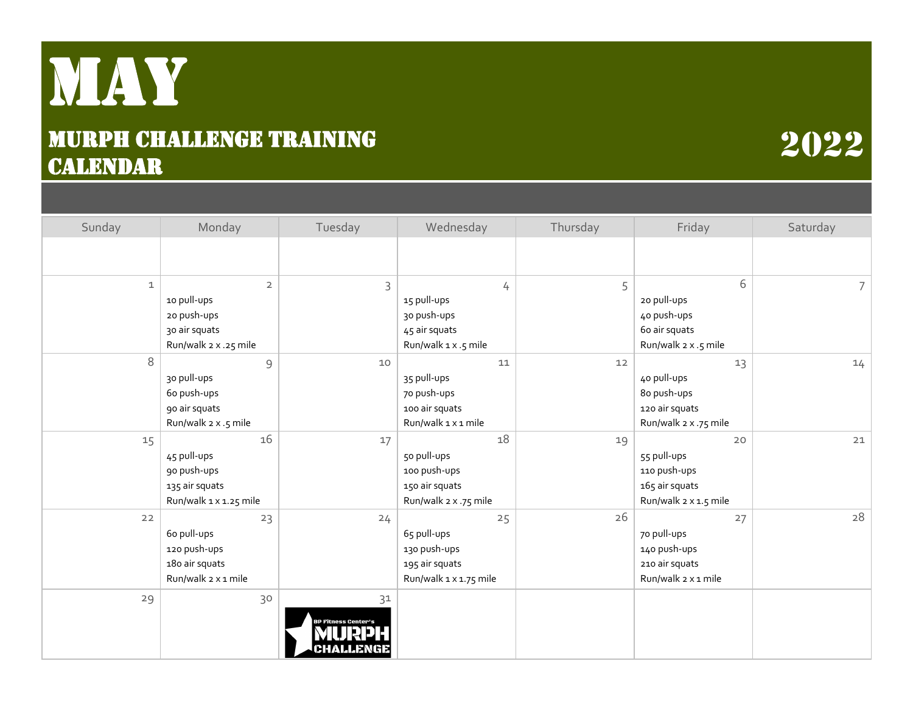## May Murph Challenge training **CALENDAR**

## Sunday | Monday | Tuesday | Wednesday | Thursday | Friday | Saturday 1 2 3 4 5 6 7 10 pull-ups 20 push-ups 30 air squats Run/walk 2 x .25 mile 15 pull-ups 30 push-ups 45 air squats Run/walk 1 x .5 mile 20 pull-ups 40 push-ups 60 air squats Run/walk 2 x .5 mile 8 9 10 11 12 13 14 30 pull-ups 60 push-ups 90 air squats Run/walk 2 x .5 mile 35 pull-ups 70 push-ups 100 air squats Run/walk 1 x 1 mile 40 pull-ups 80 push-ups 120 air squats Run/walk 2 x .75 mile 15 16 17 18 19 20 21 45 pull-ups 90 push-ups 135 air squats Run/walk 1 x 1.25 mile 50 pull-ups 100 push-ups 150 air squats Run/walk 2 x .75 mile 55 pull-ups 110 push-ups 165 air squats Run/walk 2 x 1.5 mile  $22$  23  $24$   $25$   $26$   $27$   $27$ 60 pull-ups 120 push-ups 180 air squats Run/walk 2 x 1 mile 65 pull-ups 130 push-ups 195 air squats Run/walk 1 x 1.75 mile 70 pull-ups 140 push-ups 210 air squats Run/walk 2 x 1 mile  $29$  30  $31$

2022